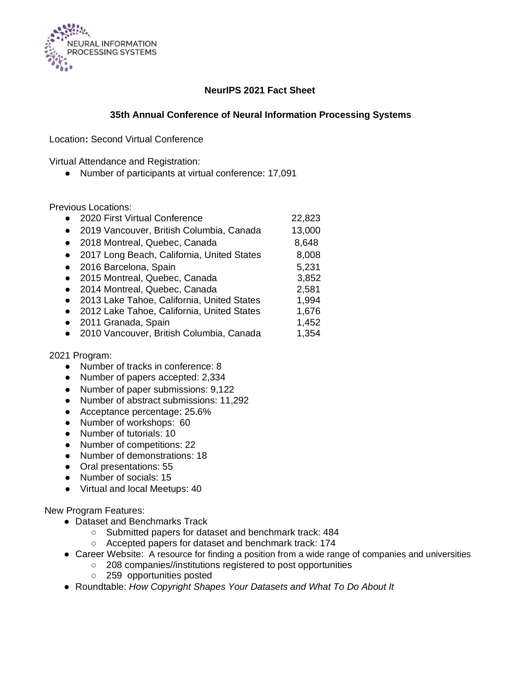

#### **NeurIPS 2021 Fact Sheet**

#### **35th Annual Conference of Neural Information Processing Systems**

Location**:** Second Virtual Conference

Virtual Attendance and Registration:

● Number of participants at virtual conference: 17,091

Previous Locations:

| 2020 First Virtual Conference              | 22,823 |
|--------------------------------------------|--------|
| 2019 Vancouver, British Columbia, Canada   | 13,000 |
| 2018 Montreal, Quebec, Canada              | 8,648  |
| 2017 Long Beach, California, United States | 8,008  |
| 2016 Barcelona, Spain                      | 5,231  |
| 2015 Montreal, Quebec, Canada              | 3,852  |
| 2014 Montreal, Quebec, Canada              | 2,581  |
| 2013 Lake Tahoe, California, United States | 1,994  |
| 2012 Lake Tahoe, California, United States | 1,676  |
| 2011 Granada, Spain                        | 1,452  |
| 2010 Vancouver, British Columbia, Canada   | 1,354  |
| 2021 Program:                              |        |

- Number of tracks in conference: 8
- Number of papers accepted: 2,334
- Number of paper submissions: 9,122
- Number of abstract submissions: 11,292
- Acceptance percentage: 25.6%
- Number of workshops: 60
- Number of tutorials: 10
- Number of competitions: 22
- Number of demonstrations: 18
- Oral presentations: 55
- Number of socials: 15
- Virtual and local Meetups: 40

New Program Features:

- Dataset and Benchmarks Track
	- Submitted papers for dataset and benchmark track: 484
	- Accepted papers for dataset and benchmark track: 174
- Career Website: A resource for finding a position from a wide range of companies and universities
	- 208 companies//institutions registered to post opportunities
	- 259 opportunities posted
- Roundtable: *How Copyright Shapes Your Datasets and What To Do About It*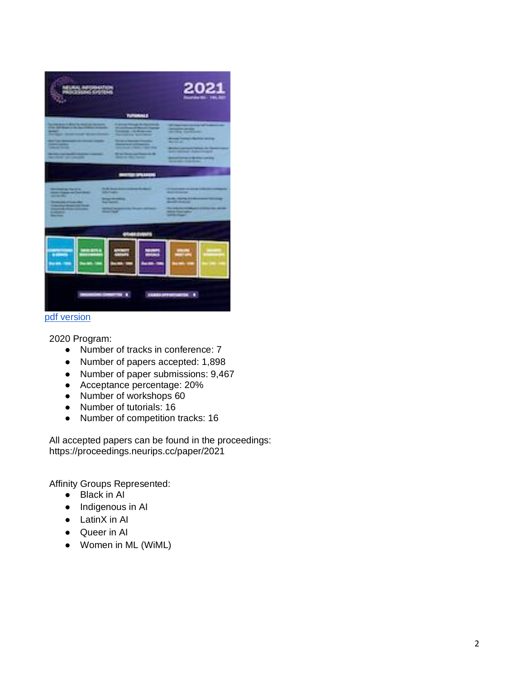

### [pdf version](https://media.neurips.cc/Conferences/NeurIPS2021/NeurIPS_2021_poster.pdf)

2020 Program:

- Number of tracks in conference: 7
- Number of papers accepted: 1,898
- Number of paper submissions: 9,467
- Acceptance percentage: 20%
- Number of workshops 60
- Number of tutorials: 16
- Number of competition tracks: 16

All accepted papers can be found in the proceedings: https://proceedings.neurips.cc/paper/2021

Affinity Groups Represented:

- Black in AI
- Indigenous in AI
- LatinX in AI
- Queer in AI
- Women in ML (WiML)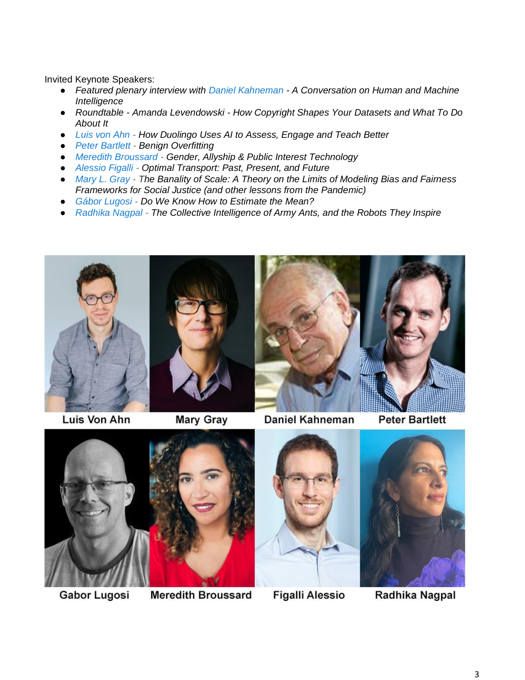Invited Keynote Speakers:

- *Featured plenary interview with [Daniel Kahneman](https://scholar.princeton.edu/kahneman/home) - A Conversation on Human and Machine Intelligence*
- *Roundtable - Amanda Levendowski - How Copyright Shapes Your Datasets and What To Do About It*
- *[Luis von Ahn](https://en.wikipedia.org/wiki/Luis_von_Ahn) - How Duolingo Uses AI to Assess, Engage and Teach Better*
- *[Peter Bartlett](https://www.stat.berkeley.edu/~bartlett/) - Benign Overfitting*
- *[Meredith Broussard](https://merbroussard.github.io/) - Gender, Allyship & Public Interest Technology*
- *[Alessio Figalli](https://people.math.ethz.ch/~afigalli/home) - Optimal Transport: Past, Present, and Future*
- *[Mary L. Gray](https://marylgray.org/) - The Banality of Scale: A Theory on the Limits of Modeling Bias and Fairness Frameworks for Social Justice (and other lessons from the Pandemic)*
- *[Gábor Lugosi](http://www.econ.upf.edu/~lugosi/) - Do We Know How to Estimate the Mean?*
- *[Radhika Nagpal](https://www.radhikanagpal.org/) - The Collective Intelligence of Army Ants, and the Robots They Inspire*





Luis Von Ahn

**Mary Gray** 



Daniel Kahneman

**Peter Bartlett** 



Gabor Lugosi



**Figalli Alessio** 

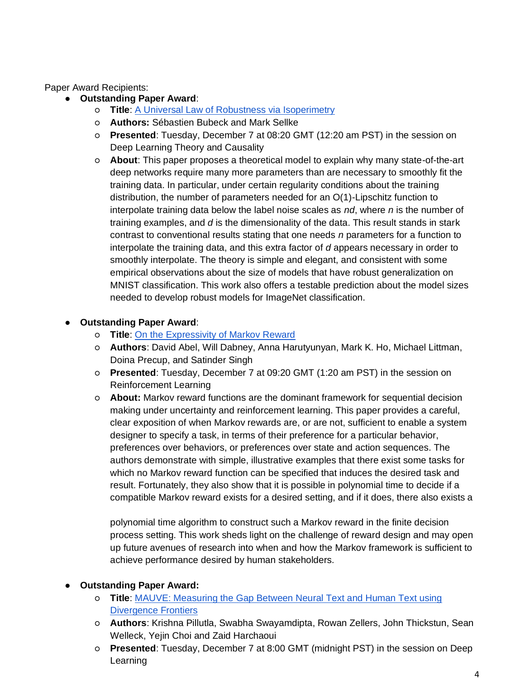Paper Award Recipients:

- **Outstanding Paper Award**:
	- **Title**: [A Universal Law of Robustness via Isoperimetry](https://openreview.net/forum?id=z71OSKqTFh7)
	- **Authors:** Sébastien Bubeck and Mark Sellke
	- **Presented**: Tuesday, December 7 at 08:20 GMT (12:20 am PST) in the session on Deep Learning Theory and Causality
	- **About**: This paper proposes a theoretical model to explain why many state-of-the-art deep networks require many more parameters than are necessary to smoothly fit the training data. In particular, under certain regularity conditions about the training distribution, the number of parameters needed for an O(1)-Lipschitz function to interpolate training data below the label noise scales as *nd*, where *n* is the number of training examples, and *d* is the dimensionality of the data. This result stands in stark contrast to conventional results stating that one needs *n* parameters for a function to interpolate the training data, and this extra factor of *d* appears necessary in order to smoothly interpolate. The theory is simple and elegant, and consistent with some empirical observations about the size of models that have robust generalization on MNIST classification. This work also offers a testable prediction about the model sizes needed to develop robust models for ImageNet classification.

### ● **Outstanding Paper Award**:

- **Title**: [On the Expressivity of Markov Reward](https://openreview.net/forum?id=9DlCh34E1bN)
- **Authors**: David Abel, Will Dabney, Anna Harutyunyan, Mark K. Ho, Michael Littman, Doina Precup, and Satinder Singh
- **Presented**: Tuesday, December 7 at 09:20 GMT (1:20 am PST) in the session on Reinforcement Learning
- **About:** Markov reward functions are the dominant framework for sequential decision making under uncertainty and reinforcement learning. This paper provides a careful, clear exposition of when Markov rewards are, or are not, sufficient to enable a system designer to specify a task, in terms of their preference for a particular behavior, preferences over behaviors, or preferences over state and action sequences. The authors demonstrate with simple, illustrative examples that there exist some tasks for which no Markov reward function can be specified that induces the desired task and result. Fortunately, they also show that it is possible in polynomial time to decide if a compatible Markov reward exists for a desired setting, and if it does, there also exists a

polynomial time algorithm to construct such a Markov reward in the finite decision process setting. This work sheds light on the challenge of reward design and may open up future avenues of research into when and how the Markov framework is sufficient to achieve performance desired by human stakeholders.

## ● **Outstanding Paper Award:**

- **Title**: [MAUVE: Measuring the Gap Between Neural Text and Human Text using](https://openreview.net/forum?id=Tqx7nJp7PR)  [Divergence Frontiers](https://openreview.net/forum?id=Tqx7nJp7PR)
- **Authors**: Krishna Pillutla, Swabha Swayamdipta, Rowan Zellers, John Thickstun, Sean Welleck, Yejin Choi and Zaid Harchaoui
- **Presented**: Tuesday, December 7 at 8:00 GMT (midnight PST) in the session on Deep Learning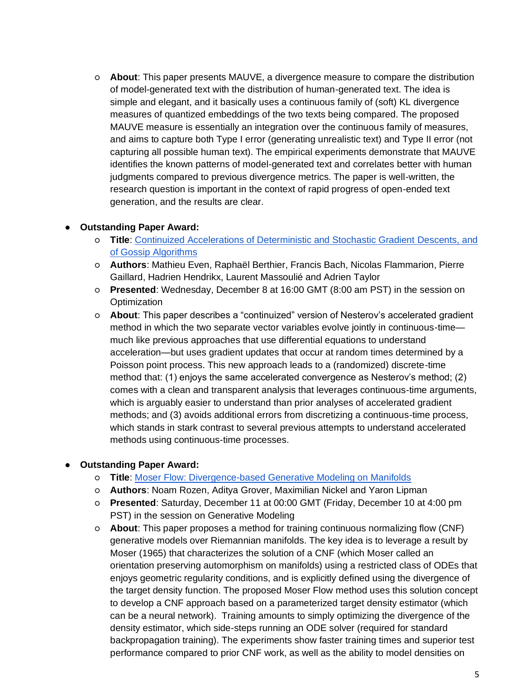○ **About**: This paper presents MAUVE, a divergence measure to compare the distribution of model-generated text with the distribution of human-generated text. The idea is simple and elegant, and it basically uses a continuous family of (soft) KL divergence measures of quantized embeddings of the two texts being compared. The proposed MAUVE measure is essentially an integration over the continuous family of measures, and aims to capture both Type I error (generating unrealistic text) and Type II error (not capturing all possible human text). The empirical experiments demonstrate that MAUVE identifies the known patterns of model-generated text and correlates better with human judgments compared to previous divergence metrics. The paper is well-written, the research question is important in the context of rapid progress of open-ended text generation, and the results are clear.

#### ● **Outstanding Paper Award:**

- **Title**: [Continuized](https://openreview.net/forum?id=bGfDnD7xo-v) [Accelerations of Deterministic and Stochastic Gradient Descents, and](https://openreview.net/forum?id=bGfDnD7xo-v)  [of Gossip Algorithms](https://openreview.net/forum?id=bGfDnD7xo-v)
- **Authors**: Mathieu Even, Raphaël Berthier, Francis Bach, Nicolas Flammarion, Pierre Gaillard, Hadrien Hendrikx, Laurent Massoulié and Adrien Taylor
- **Presented**: Wednesday, December 8 at 16:00 GMT (8:00 am PST) in the session on **Optimization**
- **About**: This paper describes a "continuized" version of Nesterov's accelerated gradient method in which the two separate vector variables evolve jointly in continuous-time much like previous approaches that use differential equations to understand acceleration—but uses gradient updates that occur at random times determined by a Poisson point process. This new approach leads to a (randomized) discrete-time method that: (1) enjoys the same accelerated convergence as Nesterov's method; (2) comes with a clean and transparent analysis that leverages continuous-time arguments, which is arguably easier to understand than prior analyses of accelerated gradient methods; and (3) avoids additional errors from discretizing a continuous-time process, which stands in stark contrast to several previous attempts to understand accelerated methods using continuous-time processes.

#### ● **Outstanding Paper Award:**

- **Title**: [Moser Flow: Divergence-based Generative Modeling on Manifolds](https://openreview.net/forum?id=qGvMv3undNJ)
- **Authors**: Noam Rozen, Aditya Grover, Maximilian Nickel and Yaron Lipman
- **Presented**: Saturday, December 11 at 00:00 GMT (Friday, December 10 at 4:00 pm PST) in the session on Generative Modeling
- **About**: This paper proposes a method for training continuous normalizing flow (CNF) generative models over Riemannian manifolds. The key idea is to leverage a result by Moser (1965) that characterizes the solution of a CNF (which Moser called an orientation preserving automorphism on manifolds) using a restricted class of ODEs that enjoys geometric regularity conditions, and is explicitly defined using the divergence of the target density function. The proposed Moser Flow method uses this solution concept to develop a CNF approach based on a parameterized target density estimator (which can be a neural network). Training amounts to simply optimizing the divergence of the density estimator, which side-steps running an ODE solver (required for standard backpropagation training). The experiments show faster training times and superior test performance compared to prior CNF work, as well as the ability to model densities on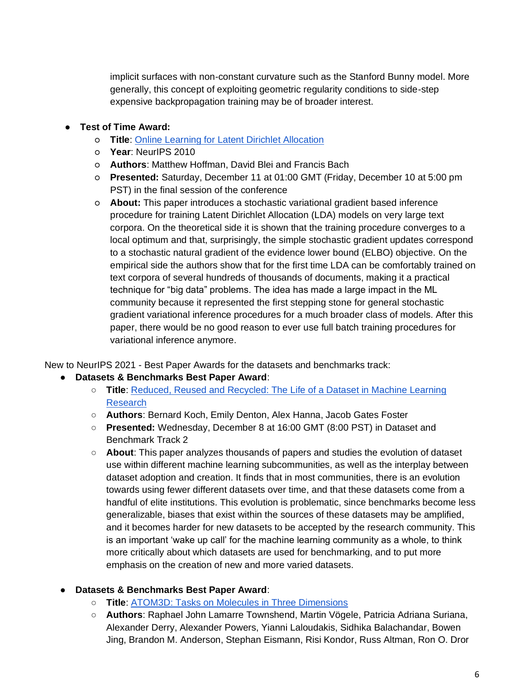implicit surfaces with non-constant curvature such as the Stanford Bunny model. More generally, this concept of exploiting geometric regularity conditions to side-step expensive backpropagation training may be of broader interest.

# ● **Test of Time Award:**

- **Title**: [Online Learning for Latent Dirichlet Allocation](https://proceedings.neurips.cc/paper/2010/file/71f6278d140af599e06ad9bf1ba03cb0-Paper.pdf)
- **Year**: NeurIPS 2010
- **Authors**: Matthew Hoffman, David Blei and Francis Bach
- **Presented:** Saturday, December 11 at 01:00 GMT (Friday, December 10 at 5:00 pm PST) in the final session of the conference
- **About:** This paper introduces a stochastic variational gradient based inference procedure for training Latent Dirichlet Allocation (LDA) models on very large text corpora. On the theoretical side it is shown that the training procedure converges to a local optimum and that, surprisingly, the simple stochastic gradient updates correspond to a stochastic natural gradient of the evidence lower bound (ELBO) objective. On the empirical side the authors show that for the first time LDA can be comfortably trained on text corpora of several hundreds of thousands of documents, making it a practical technique for "big data" problems. The idea has made a large impact in the ML community because it represented the first stepping stone for general stochastic gradient variational inference procedures for a much broader class of models. After this paper, there would be no good reason to ever use full batch training procedures for variational inference anymore.

New to NeurIPS 2021 - Best Paper Awards for the datasets and benchmarks track:

- **Datasets & Benchmarks Best Paper Award**:
	- **Title**: [Reduced, Reused and Recycled: The Life of a Dataset in Machine Learning](https://openreview.net/forum?id=zNQBIBKJRkd)  [Research](https://openreview.net/forum?id=zNQBIBKJRkd)
	- **Authors**: Bernard Koch, Emily Denton, Alex Hanna, Jacob Gates Foster
	- **Presented:** Wednesday, December 8 at 16:00 GMT (8:00 PST) in Dataset and Benchmark Track 2
	- **About**: This paper analyzes thousands of papers and studies the evolution of dataset use within different machine learning subcommunities, as well as the interplay between dataset adoption and creation. It finds that in most communities, there is an evolution towards using fewer different datasets over time, and that these datasets come from a handful of elite institutions. This evolution is problematic, since benchmarks become less generalizable, biases that exist within the sources of these datasets may be amplified, and it becomes harder for new datasets to be accepted by the research community. This is an important 'wake up call' for the machine learning community as a whole, to think more critically about which datasets are used for benchmarking, and to put more emphasis on the creation of new and more varied datasets.

## ● **Datasets & Benchmarks Best Paper Award**:

- **Title**: [ATOM3D: Tasks on Molecules in Three Dimensions](https://openreview.net/forum?id=FkDZLpK1Ml2)
- **Authors**: Raphael John Lamarre Townshend, Martin Vögele, Patricia Adriana Suriana, Alexander Derry, Alexander Powers, Yianni Laloudakis, Sidhika Balachandar, Bowen Jing, Brandon M. Anderson, Stephan Eismann, Risi Kondor, Russ Altman, Ron O. Dror